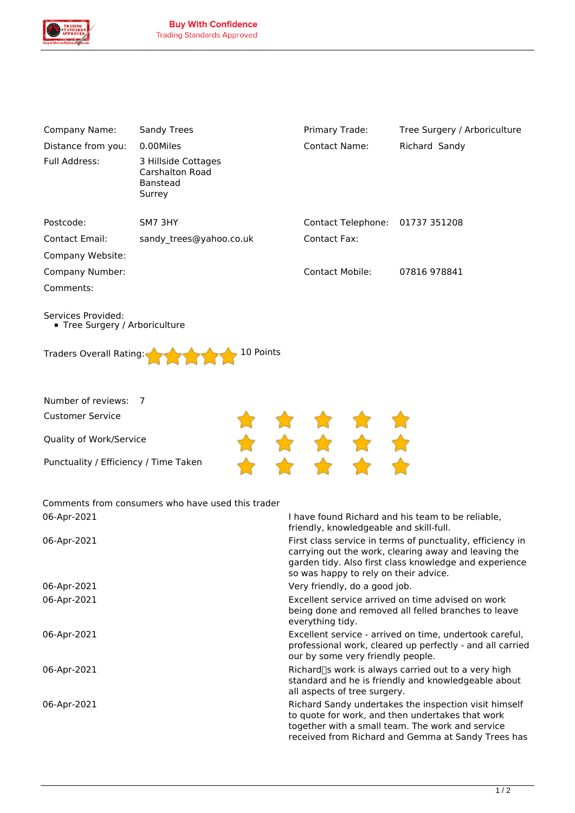

| Company Name:                                        | <b>Sandy Trees</b>                                                  | Primary Trade:                                                                                                                                                                                                        | Tree Surgery / Arboriculture                                                                                                                                  |  |
|------------------------------------------------------|---------------------------------------------------------------------|-----------------------------------------------------------------------------------------------------------------------------------------------------------------------------------------------------------------------|---------------------------------------------------------------------------------------------------------------------------------------------------------------|--|
| Distance from you:                                   | 0.00Miles                                                           | <b>Contact Name:</b>                                                                                                                                                                                                  | Richard Sandy                                                                                                                                                 |  |
| Full Address:                                        | 3 Hillside Cottages<br><b>Carshalton Road</b><br>Banstead<br>Surrey |                                                                                                                                                                                                                       |                                                                                                                                                               |  |
| Postcode:                                            | SM7 3HY                                                             | Contact Telephone: 01737 351208                                                                                                                                                                                       |                                                                                                                                                               |  |
| Contact Email:                                       | sandy_trees@yahoo.co.uk                                             | Contact Fax:                                                                                                                                                                                                          |                                                                                                                                                               |  |
| Company Website:                                     |                                                                     |                                                                                                                                                                                                                       |                                                                                                                                                               |  |
| Company Number:                                      |                                                                     | <b>Contact Mobile:</b>                                                                                                                                                                                                | 07816 978841                                                                                                                                                  |  |
| Comments:                                            |                                                                     |                                                                                                                                                                                                                       |                                                                                                                                                               |  |
| Services Provided:<br>• Tree Surgery / Arboriculture |                                                                     |                                                                                                                                                                                                                       |                                                                                                                                                               |  |
| Traders Overall Rating:                              | 10 Points                                                           |                                                                                                                                                                                                                       |                                                                                                                                                               |  |
| Number of reviews:                                   | 7                                                                   |                                                                                                                                                                                                                       |                                                                                                                                                               |  |
| <b>Customer Service</b>                              |                                                                     |                                                                                                                                                                                                                       |                                                                                                                                                               |  |
| Quality of Work/Service                              |                                                                     | ★ ★ ★ :<br>★ ★ ★ :                                                                                                                                                                                                    |                                                                                                                                                               |  |
| Punctuality / Efficiency / Time Taken                |                                                                     |                                                                                                                                                                                                                       |                                                                                                                                                               |  |
| 06-Apr-2021                                          | Comments from consumers who have used this trader                   |                                                                                                                                                                                                                       |                                                                                                                                                               |  |
|                                                      |                                                                     | I have found Richard and his team to be reliable,<br>friendly, knowledgeable and skill-full.                                                                                                                          |                                                                                                                                                               |  |
| 06-Apr-2021                                          |                                                                     | First class service in terms of punctuality, efficiency in<br>carrying out the work, clearing away and leaving the<br>garden tidy. Also first class knowledge and experience<br>so was happy to rely on their advice. |                                                                                                                                                               |  |
| 06-Apr-2021                                          |                                                                     |                                                                                                                                                                                                                       | Very friendly, do a good job.                                                                                                                                 |  |
| 06-Apr-2021                                          |                                                                     | Excellent service arrived on time advised on work<br>being done and removed all felled branches to leave<br>everything tidy.                                                                                          |                                                                                                                                                               |  |
| 06-Apr-2021                                          |                                                                     | Excellent service - arrived on time, undertook careful,<br>professional work, cleared up perfectly - and all carried<br>our by some very friendly people.                                                             |                                                                                                                                                               |  |
| 06-Apr-2021                                          |                                                                     | Richard[S work is always carried out to a very high<br>standard and he is friendly and knowledgeable about<br>all aspects of tree surgery.                                                                            |                                                                                                                                                               |  |
| 06-Apr-2021                                          |                                                                     |                                                                                                                                                                                                                       | Richard Sandy undertakes the inspection visit himself<br>to quote for work, and then undertakes that work<br>together with a small team. The work and service |  |

*received from Richard and Gemma at Sandy Trees has*